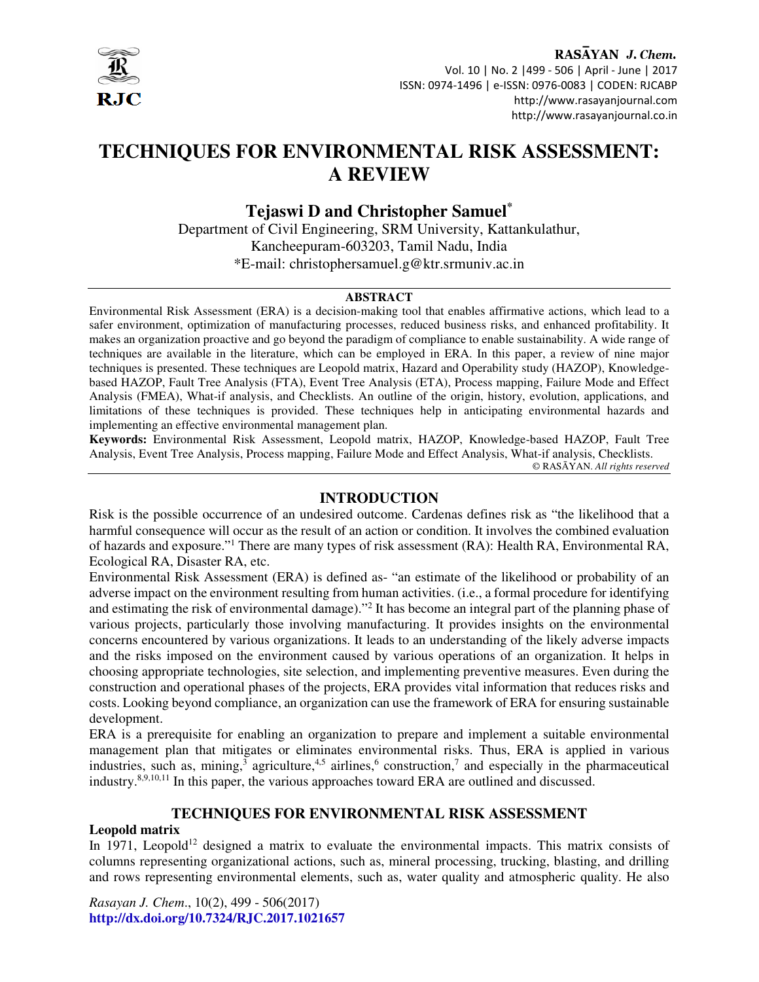

RASAYAN J. Chem. Vol. 10 | No. 2 |499 - 506 | April - June | 2017 ISSN: 0974-1496 | e-ISSN: 0976-0083 | CODEN: RJCABP http://www.rasayanjournal.com http://www.rasayanjournal.co.in

# **TECHNIQUES FOR ENVIRONMENTAL RISK ASSESSMENT: A REVIEW**

# **Tejaswi D and Christopher Samuel\***

Department of Civil Engineering, SRM University, Kattankulathur, Kancheepuram-603203, Tamil Nadu, India \*E-mail: christophersamuel.g@ktr.srmuniv.ac.in

#### **ABSTRACT**

Environmental Risk Assessment (ERA) is a decision-making tool that enables affirmative actions, which lead to a safer environment, optimization of manufacturing processes, reduced business risks, and enhanced profitability. It makes an organization proactive and go beyond the paradigm of compliance to enable sustainability. A wide range of techniques are available in the literature, which can be employed in ERA. In this paper, a review of nine major techniques is presented. These techniques are Leopold matrix, Hazard and Operability study (HAZOP), Knowledgebased HAZOP, Fault Tree Analysis (FTA), Event Tree Analysis (ETA), Process mapping, Failure Mode and Effect Analysis (FMEA), What-if analysis, and Checklists. An outline of the origin, history, evolution, applications, and limitations of these techniques is provided. These techniques help in anticipating environmental hazards and implementing an effective environmental management plan.

**Keywords:** Environmental Risk Assessment, Leopold matrix, HAZOP, Knowledge-based HAZOP, Fault Tree Analysis, Event Tree Analysis, Process mapping, Failure Mode and Effect Analysis, What-if analysis, Checklists. © RASĀYAN. *All rights reserved*

#### **INTRODUCTION**

Risk is the possible occurrence of an undesired outcome. Cardenas defines risk as "the likelihood that a harmful consequence will occur as the result of an action or condition. It involves the combined evaluation of hazards and exposure."<sup>1</sup> There are many types of risk assessment (RA): Health RA, Environmental RA, Ecological RA, Disaster RA, etc.

Environmental Risk Assessment (ERA) is defined as- "an estimate of the likelihood or probability of an adverse impact on the environment resulting from human activities. (i.e., a formal procedure for identifying and estimating the risk of environmental damage)."<sup>2</sup> It has become an integral part of the planning phase of various projects, particularly those involving manufacturing. It provides insights on the environmental concerns encountered by various organizations. It leads to an understanding of the likely adverse impacts and the risks imposed on the environment caused by various operations of an organization. It helps in choosing appropriate technologies, site selection, and implementing preventive measures. Even during the construction and operational phases of the projects, ERA provides vital information that reduces risks and costs. Looking beyond compliance, an organization can use the framework of ERA for ensuring sustainable development.

ERA is a prerequisite for enabling an organization to prepare and implement a suitable environmental management plan that mitigates or eliminates environmental risks. Thus, ERA is applied in various industries, such as, mining,<sup>3</sup> agriculture,<sup>4,5</sup> airlines,<sup>6</sup> construction,<sup>7</sup> and especially in the pharmaceutical industry.8,9,10,11 In this paper, the various approaches toward ERA are outlined and discussed.

#### **TECHNIQUES FOR ENVIRONMENTAL RISK ASSESSMENT**

#### **Leopold matrix**

In 1971, Leopold<sup>12</sup> designed a matrix to evaluate the environmental impacts. This matrix consists of columns representing organizational actions, such as, mineral processing, trucking, blasting, and drilling and rows representing environmental elements, such as, water quality and atmospheric quality. He also

*Rasayan J. Chem*., 10(2), 499 - 506(2017) **http://dx.doi.org/10.7324/RJC.2017.1021657**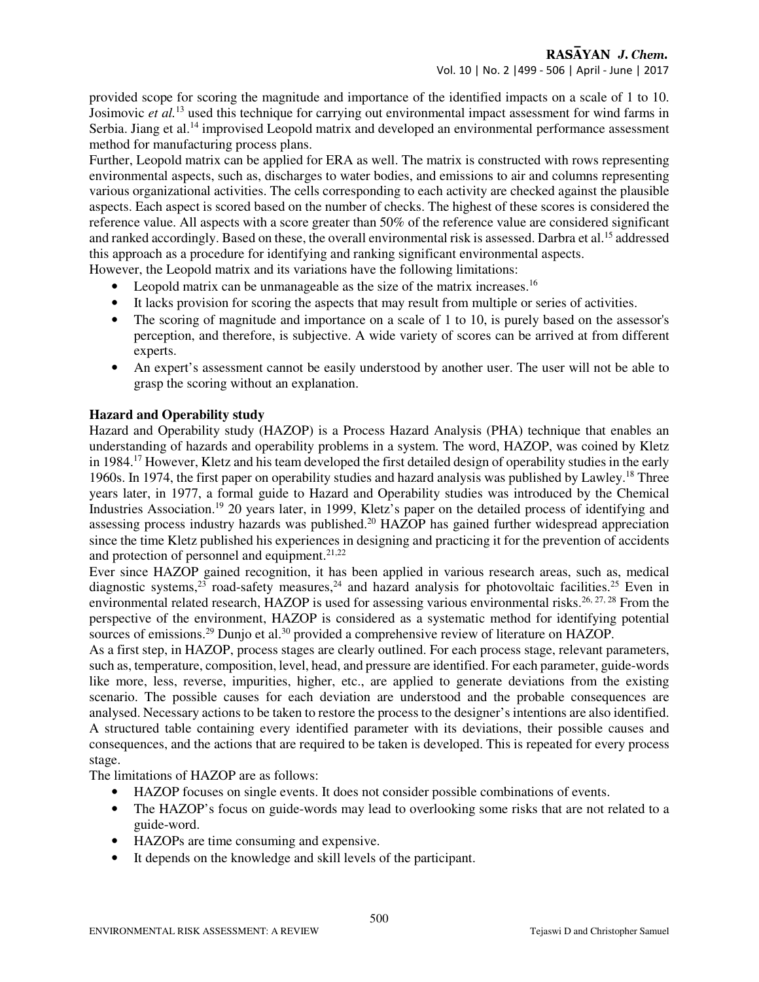provided scope for scoring the magnitude and importance of the identified impacts on a scale of 1 to 10. Josimovic *et al.*<sup>13</sup> used this technique for carrying out environmental impact assessment for wind farms in Serbia. Jiang et al.<sup>14</sup> improvised Leopold matrix and developed an environmental performance assessment method for manufacturing process plans.

Further, Leopold matrix can be applied for ERA as well. The matrix is constructed with rows representing environmental aspects, such as, discharges to water bodies, and emissions to air and columns representing various organizational activities. The cells corresponding to each activity are checked against the plausible aspects. Each aspect is scored based on the number of checks. The highest of these scores is considered the reference value. All aspects with a score greater than 50% of the reference value are considered significant and ranked accordingly. Based on these, the overall environmental risk is assessed. Darbra et al.<sup>15</sup> addressed this approach as a procedure for identifying and ranking significant environmental aspects.

However, the Leopold matrix and its variations have the following limitations:

- Leopold matrix can be unmanageable as the size of the matrix increases.<sup>16</sup>
- It lacks provision for scoring the aspects that may result from multiple or series of activities.
- The scoring of magnitude and importance on a scale of 1 to 10, is purely based on the assessor's perception, and therefore, is subjective. A wide variety of scores can be arrived at from different experts.
- An expert's assessment cannot be easily understood by another user. The user will not be able to grasp the scoring without an explanation.

#### **Hazard and Operability study**

Hazard and Operability study (HAZOP) is a Process Hazard Analysis (PHA) technique that enables an understanding of hazards and operability problems in a system. The word, HAZOP, was coined by Kletz in 1984.<sup>17</sup> However, Kletz and his team developed the first detailed design of operability studies in the early 1960s. In 1974, the first paper on operability studies and hazard analysis was published by Lawley.<sup>18</sup> Three years later, in 1977, a formal guide to Hazard and Operability studies was introduced by the Chemical Industries Association.<sup>19</sup> 20 years later, in 1999, Kletz's paper on the detailed process of identifying and assessing process industry hazards was published.<sup>20</sup> HAZOP has gained further widespread appreciation since the time Kletz published his experiences in designing and practicing it for the prevention of accidents and protection of personnel and equipment.<sup>21,22</sup>

Ever since HAZOP gained recognition, it has been applied in various research areas, such as, medical diagnostic systems,<sup>23</sup> road-safety measures,<sup>24</sup> and hazard analysis for photovoltaic facilities.<sup>25</sup> Even in environmental related research, HAZOP is used for assessing various environmental risks.<sup>26, 27, 28</sup> From the perspective of the environment, HAZOP is considered as a systematic method for identifying potential sources of emissions.<sup>29</sup> Dunjo et al.<sup>30</sup> provided a comprehensive review of literature on HAZOP.

As a first step, in HAZOP, process stages are clearly outlined. For each process stage, relevant parameters, such as, temperature, composition, level, head, and pressure are identified. For each parameter, guide-words like more, less, reverse, impurities, higher, etc., are applied to generate deviations from the existing scenario. The possible causes for each deviation are understood and the probable consequences are analysed. Necessary actions to be taken to restore the process to the designer's intentions are also identified. A structured table containing every identified parameter with its deviations, their possible causes and consequences, and the actions that are required to be taken is developed. This is repeated for every process stage.

The limitations of HAZOP are as follows:

- HAZOP focuses on single events. It does not consider possible combinations of events.
- The HAZOP's focus on guide-words may lead to overlooking some risks that are not related to a guide-word.
- HAZOPs are time consuming and expensive.
- It depends on the knowledge and skill levels of the participant.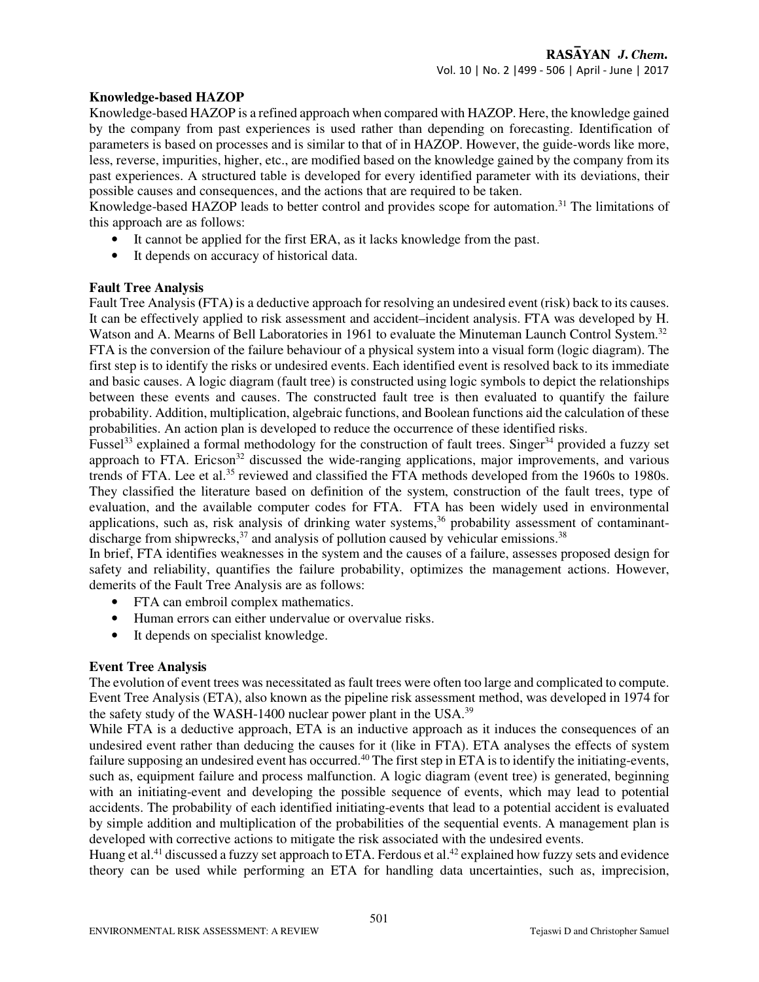#### **Knowledge-based HAZOP**

Knowledge-based HAZOP is a refined approach when compared with HAZOP. Here, the knowledge gained by the company from past experiences is used rather than depending on forecasting. Identification of parameters is based on processes and is similar to that of in HAZOP. However, the guide-words like more, less, reverse, impurities, higher, etc., are modified based on the knowledge gained by the company from its past experiences. A structured table is developed for every identified parameter with its deviations, their possible causes and consequences, and the actions that are required to be taken.

Knowledge-based HAZOP leads to better control and provides scope for automation.<sup>31</sup> The limitations of this approach are as follows:

- It cannot be applied for the first ERA, as it lacks knowledge from the past.
- It depends on accuracy of historical data.

#### **Fault Tree Analysis**

Fault Tree Analysis **(**FTA**)** is a deductive approach for resolving an undesired event (risk) back to its causes. It can be effectively applied to risk assessment and accident–incident analysis. FTA was developed by H. Watson and A. Mearns of Bell Laboratories in 1961 to evaluate the Minuteman Launch Control System.<sup>32</sup> FTA is the conversion of the failure behaviour of a physical system into a visual form (logic diagram). The first step is to identify the risks or undesired events. Each identified event is resolved back to its immediate and basic causes. A logic diagram (fault tree) is constructed using logic symbols to depict the relationships between these events and causes. The constructed fault tree is then evaluated to quantify the failure probability. Addition, multiplication, algebraic functions, and Boolean functions aid the calculation of these probabilities. An action plan is developed to reduce the occurrence of these identified risks.

Fussel<sup>33</sup> explained a formal methodology for the construction of fault trees. Singer<sup>34</sup> provided a fuzzy set approach to FTA. Ericson<sup>32</sup> discussed the wide-ranging applications, major improvements, and various trends of FTA. Lee et al.<sup>35</sup> reviewed and classified the FTA methods developed from the 1960s to 1980s. They classified the literature based on definition of the system, construction of the fault trees, type of evaluation, and the available computer codes for FTA. FTA has been widely used in environmental applications, such as, risk analysis of drinking water systems,<sup>36</sup> probability assessment of contaminantdischarge from shipwrecks, $37$  and analysis of pollution caused by vehicular emissions.<sup>38</sup>

In brief, FTA identifies weaknesses in the system and the causes of a failure, assesses proposed design for safety and reliability, quantifies the failure probability, optimizes the management actions. However, demerits of the Fault Tree Analysis are as follows:

- FTA can embroil complex mathematics.
- Human errors can either undervalue or overvalue risks.
- It depends on specialist knowledge.

#### **Event Tree Analysis**

The evolution of event trees was necessitated as fault trees were often too large and complicated to compute. Event Tree Analysis (ETA), also known as the pipeline risk assessment method, was developed in 1974 for the safety study of the WASH-1400 nuclear power plant in the USA. $^{39}$ 

While FTA is a deductive approach, ETA is an inductive approach as it induces the consequences of an undesired event rather than deducing the causes for it (like in FTA). ETA analyses the effects of system failure supposing an undesired event has occurred.<sup>40</sup> The first step in ETA is to identify the initiating-events, such as, equipment failure and process malfunction. A logic diagram (event tree) is generated, beginning with an initiating-event and developing the possible sequence of events, which may lead to potential accidents. The probability of each identified initiating-events that lead to a potential accident is evaluated by simple addition and multiplication of the probabilities of the sequential events. A management plan is developed with corrective actions to mitigate the risk associated with the undesired events.

Huang et al.<sup>41</sup> discussed a fuzzy set approach to ETA. Ferdous et al.<sup>42</sup> explained how fuzzy sets and evidence theory can be used while performing an ETA for handling data uncertainties, such as, imprecision,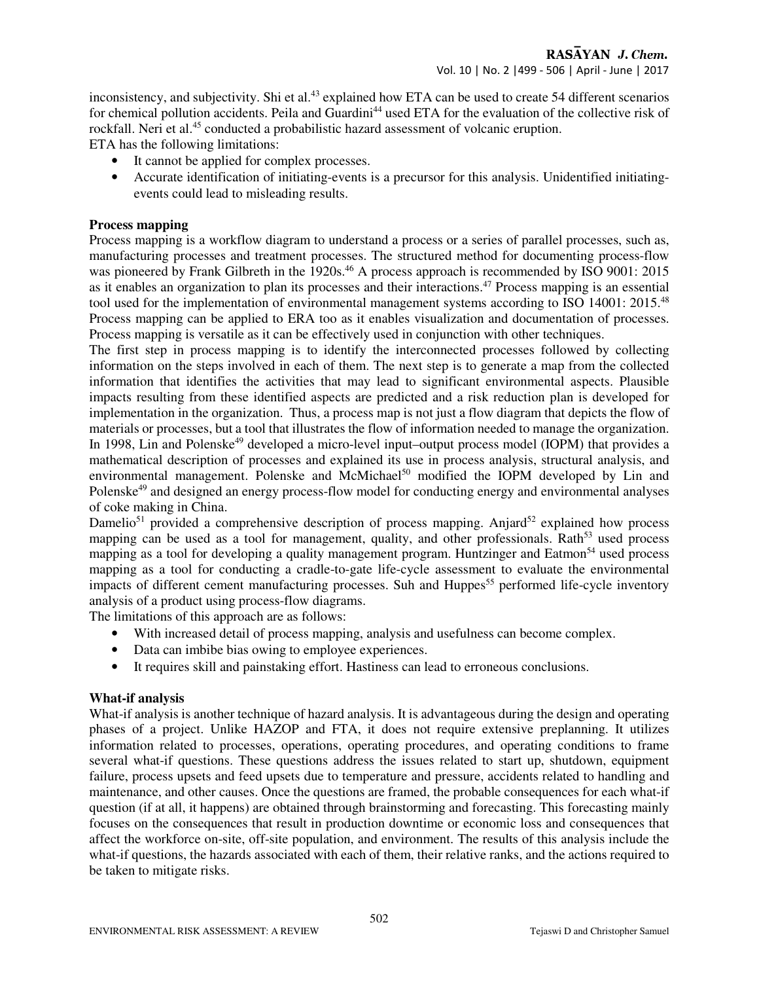inconsistency, and subjectivity. Shi et al.<sup>43</sup> explained how ETA can be used to create 54 different scenarios for chemical pollution accidents. Peila and Guardini<sup>44</sup> used ETA for the evaluation of the collective risk of rockfall. Neri et al.<sup>45</sup> conducted a probabilistic hazard assessment of volcanic eruption.

ETA has the following limitations:

- It cannot be applied for complex processes.
- Accurate identification of initiating-events is a precursor for this analysis. Unidentified initiatingevents could lead to misleading results.

#### **Process mapping**

Process mapping is a workflow diagram to understand a process or a series of parallel processes, such as, manufacturing processes and treatment processes. The structured method for documenting process-flow was pioneered by Frank Gilbreth in the 1920s.<sup>46</sup> A process approach is recommended by ISO 9001: 2015 as it enables an organization to plan its processes and their interactions.<sup>47</sup> Process mapping is an essential tool used for the implementation of environmental management systems according to ISO 14001: 2015.<sup>48</sup> Process mapping can be applied to ERA too as it enables visualization and documentation of processes. Process mapping is versatile as it can be effectively used in conjunction with other techniques.

The first step in process mapping is to identify the interconnected processes followed by collecting information on the steps involved in each of them. The next step is to generate a map from the collected information that identifies the activities that may lead to significant environmental aspects. Plausible impacts resulting from these identified aspects are predicted and a risk reduction plan is developed for implementation in the organization. Thus, a process map is not just a flow diagram that depicts the flow of materials or processes, but a tool that illustrates the flow of information needed to manage the organization. In 1998, Lin and Polenske<sup>49</sup> developed a micro-level input–output process model (IOPM) that provides a mathematical description of processes and explained its use in process analysis, structural analysis, and environmental management. Polenske and McMichael<sup>50</sup> modified the IOPM developed by Lin and Polenske<sup>49</sup> and designed an energy process-flow model for conducting energy and environmental analyses of coke making in China.

Damelio<sup>51</sup> provided a comprehensive description of process mapping. Anjard<sup>52</sup> explained how process mapping can be used as a tool for management, quality, and other professionals. Rath<sup>53</sup> used process mapping as a tool for developing a quality management program. Huntzinger and Eatmon<sup>54</sup> used process mapping as a tool for conducting a cradle-to-gate life-cycle assessment to evaluate the environmental impacts of different cement manufacturing processes. Suh and Huppes<sup>55</sup> performed life-cycle inventory analysis of a product using process-flow diagrams.

The limitations of this approach are as follows:

- With increased detail of process mapping, analysis and usefulness can become complex.
- Data can imbibe bias owing to employee experiences.
- It requires skill and painstaking effort. Hastiness can lead to erroneous conclusions.

#### **What-if analysis**

What-if analysis is another technique of hazard analysis. It is advantageous during the design and operating phases of a project. Unlike HAZOP and FTA, it does not require extensive preplanning. It utilizes information related to processes, operations, operating procedures, and operating conditions to frame several what-if questions. These questions address the issues related to start up, shutdown, equipment failure, process upsets and feed upsets due to temperature and pressure, accidents related to handling and maintenance, and other causes. Once the questions are framed, the probable consequences for each what-if question (if at all, it happens) are obtained through brainstorming and forecasting. This forecasting mainly focuses on the consequences that result in production downtime or economic loss and consequences that affect the workforce on-site, off-site population, and environment. The results of this analysis include the what-if questions, the hazards associated with each of them, their relative ranks, and the actions required to be taken to mitigate risks.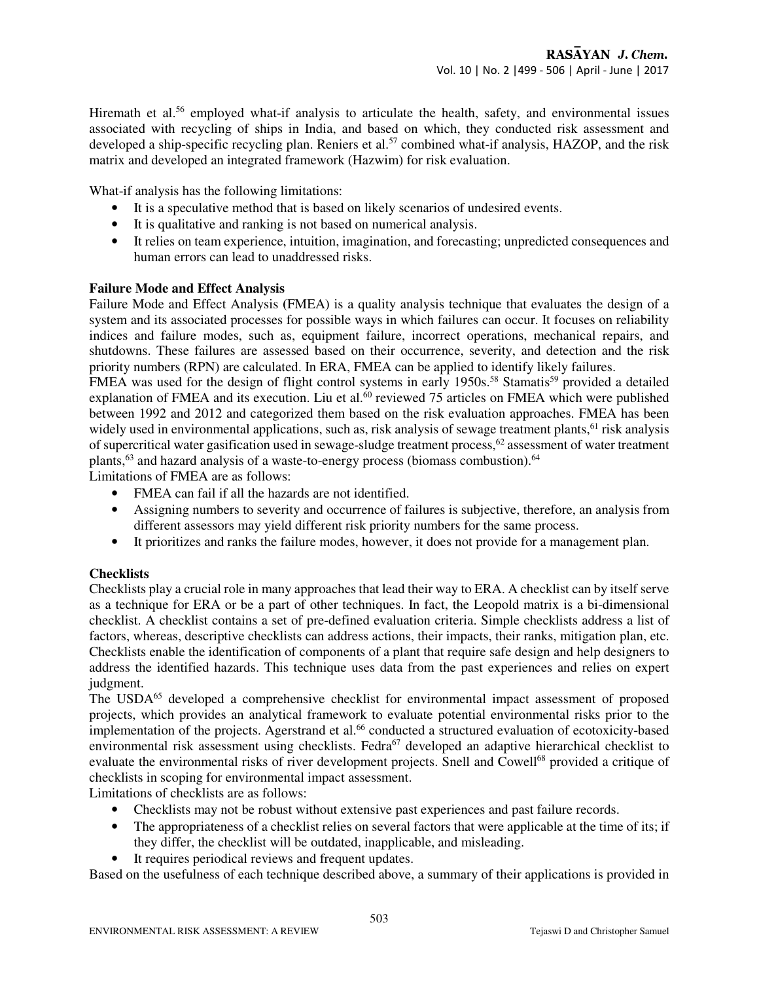Hiremath et al.<sup>56</sup> employed what-if analysis to articulate the health, safety, and environmental issues associated with recycling of ships in India, and based on which, they conducted risk assessment and developed a ship-specific recycling plan. Reniers et al.<sup>57</sup> combined what-if analysis, HAZOP, and the risk matrix and developed an integrated framework (Hazwim) for risk evaluation.

What-if analysis has the following limitations:

- It is a speculative method that is based on likely scenarios of undesired events.
- It is qualitative and ranking is not based on numerical analysis.
- It relies on team experience, intuition, imagination, and forecasting; unpredicted consequences and human errors can lead to unaddressed risks.

#### **Failure Mode and Effect Analysis**

Failure Mode and Effect Analysis **(**FMEA) is a quality analysis technique that evaluates the design of a system and its associated processes for possible ways in which failures can occur. It focuses on reliability indices and failure modes, such as, equipment failure, incorrect operations, mechanical repairs, and shutdowns. These failures are assessed based on their occurrence, severity, and detection and the risk priority numbers (RPN) are calculated. In ERA, FMEA can be applied to identify likely failures.

FMEA was used for the design of flight control systems in early 1950s.<sup>58</sup> Stamatis<sup>59</sup> provided a detailed explanation of FMEA and its execution. Liu et al. $^{60}$  reviewed 75 articles on FMEA which were published between 1992 and 2012 and categorized them based on the risk evaluation approaches. FMEA has been widely used in environmental applications, such as, risk analysis of sewage treatment plants,<sup>61</sup> risk analysis of supercritical water gasification used in sewage-sludge treatment process,<sup>62</sup> assessment of water treatment plants,<sup>63</sup> and hazard analysis of a waste-to-energy process (biomass combustion).<sup>64</sup>

Limitations of FMEA are as follows:

- FMEA can fail if all the hazards are not identified.
- Assigning numbers to severity and occurrence of failures is subjective, therefore, an analysis from different assessors may yield different risk priority numbers for the same process.
- It prioritizes and ranks the failure modes, however, it does not provide for a management plan.

#### **Checklists**

Checklists play a crucial role in many approaches that lead their way to ERA. A checklist can by itself serve as a technique for ERA or be a part of other techniques. In fact, the Leopold matrix is a bi-dimensional checklist. A checklist contains a set of pre-defined evaluation criteria. Simple checklists address a list of factors, whereas, descriptive checklists can address actions, their impacts, their ranks, mitigation plan, etc. Checklists enable the identification of components of a plant that require safe design and help designers to address the identified hazards. This technique uses data from the past experiences and relies on expert judgment.

The USDA<sup>65</sup> developed a comprehensive checklist for environmental impact assessment of proposed projects, which provides an analytical framework to evaluate potential environmental risks prior to the implementation of the projects. Agerstrand et al.<sup>66</sup> conducted a structured evaluation of ecotoxicity-based environmental risk assessment using checklists. Fedra<sup>67</sup> developed an adaptive hierarchical checklist to evaluate the environmental risks of river development projects. Snell and Cowell<sup>68</sup> provided a critique of checklists in scoping for environmental impact assessment.

Limitations of checklists are as follows:

- Checklists may not be robust without extensive past experiences and past failure records.
- The appropriateness of a checklist relies on several factors that were applicable at the time of its; if they differ, the checklist will be outdated, inapplicable, and misleading.
- It requires periodical reviews and frequent updates.

Based on the usefulness of each technique described above, a summary of their applications is provided in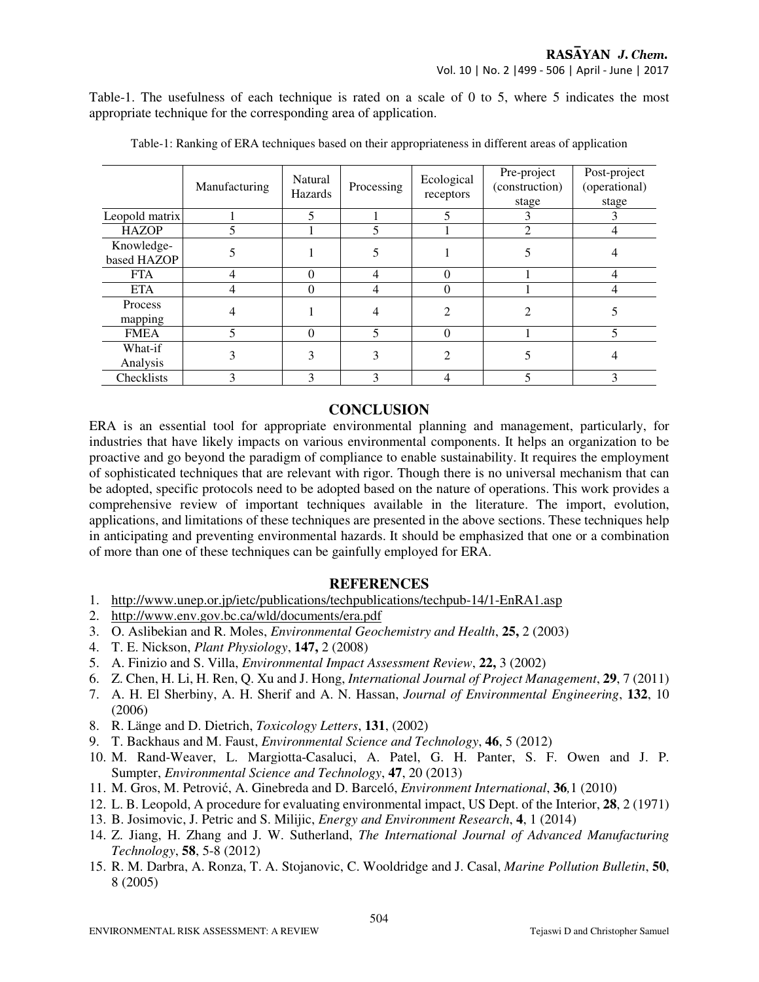Table-1. The usefulness of each technique is rated on a scale of 0 to 5, where 5 indicates the most appropriate technique for the corresponding area of application.

|                           | Manufacturing | Natural<br>Hazards | Processing | Ecological<br>receptors | Pre-project<br>(construction)<br>stage | Post-project<br>(operational)<br>stage |
|---------------------------|---------------|--------------------|------------|-------------------------|----------------------------------------|----------------------------------------|
| Leopold matrix            |               | 5                  |            |                         |                                        |                                        |
| <b>HAZOP</b>              |               |                    |            |                         | $\mathfrak{D}$                         |                                        |
| Knowledge-<br>based HAZOP |               |                    |            |                         |                                        |                                        |
| <b>FTA</b>                | 4             | $\Omega$           | 4          | $\Omega$                |                                        |                                        |
| <b>ETA</b>                |               | $\theta$           | 4          | $\theta$                |                                        |                                        |
| Process<br>mapping        |               |                    |            | $\overline{c}$          |                                        |                                        |
| <b>FMEA</b>               |               | $\Omega$           | 5          | $\theta$                |                                        |                                        |
| What-if<br>Analysis       |               | 3                  |            | $\mathfrak{D}$          |                                        |                                        |
| Checklists                | 3             | 3                  | ζ          | 4                       |                                        | 3                                      |

Table-1: Ranking of ERA techniques based on their appropriateness in different areas of application

## **CONCLUSION**

ERA is an essential tool for appropriate environmental planning and management, particularly, for industries that have likely impacts on various environmental components. It helps an organization to be proactive and go beyond the paradigm of compliance to enable sustainability. It requires the employment of sophisticated techniques that are relevant with rigor. Though there is no universal mechanism that can be adopted, specific protocols need to be adopted based on the nature of operations. This work provides a comprehensive review of important techniques available in the literature. The import, evolution, applications, and limitations of these techniques are presented in the above sections. These techniques help in anticipating and preventing environmental hazards. It should be emphasized that one or a combination of more than one of these techniques can be gainfully employed for ERA.

### **REFERENCES**

- 1. http://www.unep.or.jp/ietc/publications/techpublications/techpub-14/1-EnRA1.asp
- 2. http://www.env.gov.bc.ca/wld/documents/era.pdf
- 3. O. Aslibekian and R. Moles, *Environmental Geochemistry and Health*, **25,** 2 (2003)
- 4. T. E. Nickson, *Plant Physiology*, **147,** 2 (2008)
- 5. A. Finizio and S. Villa, *Environmental Impact Assessment Review*, **22,** 3 (2002)
- 6. Z. Chen, H. Li, H. Ren, Q. Xu and J. Hong, *International Journal of Project Management*, **29**, 7 (2011)
- 7. A. H. El Sherbiny, A. H. Sherif and A. N. Hassan, *Journal of Environmental Engineering*, **132**, 10 (2006)
- 8. R. Länge and D. Dietrich, *Toxicology Letters*, **131**, (2002)
- 9. T. Backhaus and M. Faust, *Environmental Science and Technology*, **46**, 5 (2012)
- 10. M. Rand-Weaver, L. Margiotta-Casaluci, A. Patel, G. H. Panter, S. F. Owen and J. P. Sumpter, *Environmental Science and Technology*, **47**, 20 (2013)
- 11. M. Gros, M. Petrović, A. Ginebreda and D. Barceló, *Environment International*, **36***,*1 (2010)
- 12. L. B. Leopold, A procedure for evaluating environmental impact, US Dept. of the Interior, **28**, 2 (1971)
- 13. B. Josimovic, J. Petric and S. Milijic, *Energy and Environment Research*, **4**, 1 (2014)
- 14. Z. Jiang, H. Zhang and J. W. Sutherland, *The International Journal of Advanced Manufacturing Technology*, **58**, 5-8 (2012)
- 15. R. M. Darbra, A. Ronza, T. A. Stojanovic, C. Wooldridge and J. Casal, *Marine Pollution Bulletin*, **50**, 8 (2005)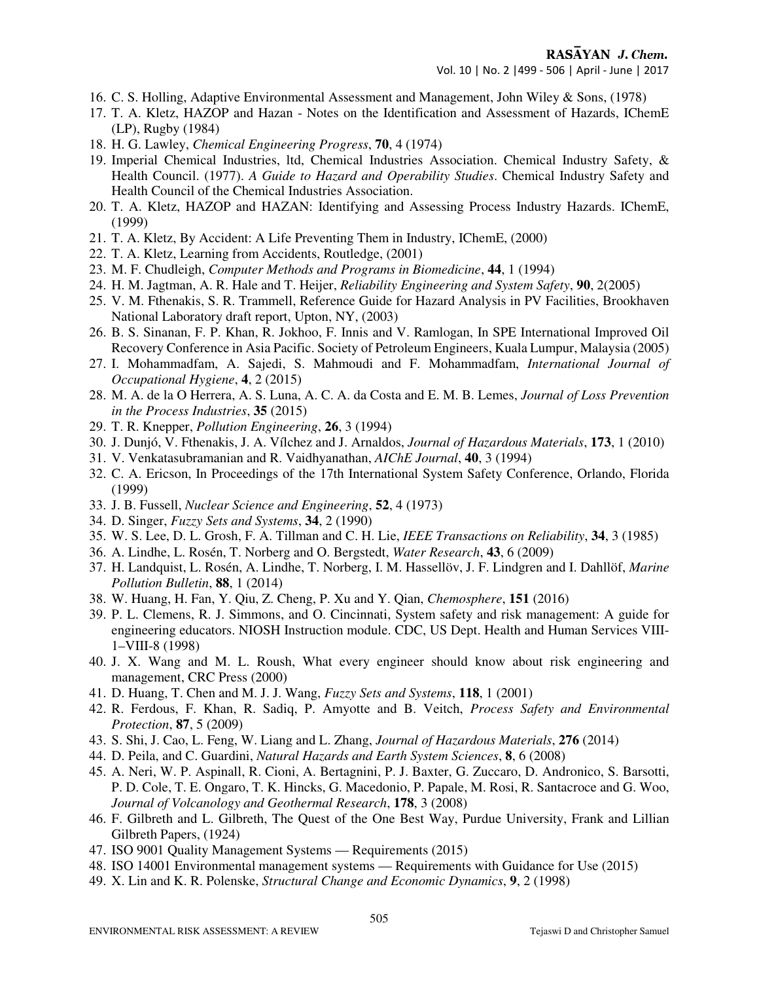- 16. C. S. Holling, Adaptive Environmental Assessment and Management, John Wiley & Sons, (1978)
- 17. T. A. Kletz, HAZOP and Hazan Notes on the Identification and Assessment of Hazards, IChemE (LP), Rugby (1984)
- 18. H. G. Lawley, *Chemical Engineering Progress*, **70**, 4 (1974)
- 19. Imperial Chemical Industries, ltd, Chemical Industries Association. Chemical Industry Safety, & Health Council. (1977). *A Guide to Hazard and Operability Studies*. Chemical Industry Safety and Health Council of the Chemical Industries Association.
- 20. T. A. Kletz, HAZOP and HAZAN: Identifying and Assessing Process Industry Hazards. IChemE, (1999)
- 21. T. A. Kletz, By Accident: A Life Preventing Them in Industry, IChemE, (2000)
- 22. T. A. Kletz, Learning from Accidents, Routledge, (2001)
- 23. M. F. Chudleigh, *Computer Methods and Programs in Biomedicine*, **44**, 1 (1994)
- 24. H. M. Jagtman, A. R. Hale and T. Heijer, *Reliability Engineering and System Safety*, **90**, 2(2005)
- 25. V. M. Fthenakis, S. R. Trammell, Reference Guide for Hazard Analysis in PV Facilities, Brookhaven National Laboratory draft report, Upton, NY, (2003)
- 26. B. S. Sinanan, F. P. Khan, R. Jokhoo, F. Innis and V. Ramlogan, In SPE International Improved Oil Recovery Conference in Asia Pacific. Society of Petroleum Engineers, Kuala Lumpur, Malaysia (2005)
- 27. I. Mohammadfam, A. Sajedi, S. Mahmoudi and F. Mohammadfam, *International Journal of Occupational Hygiene*, **4**, 2 (2015)
- 28. M. A. de la O Herrera, A. S. Luna, A. C. A. da Costa and E. M. B. Lemes, *Journal of Loss Prevention in the Process Industries*, **35** (2015)
- 29. T. R. Knepper, *Pollution Engineering*, **26**, 3 (1994)
- 30. J. Dunjó, V. Fthenakis, J. A. Vílchez and J. Arnaldos, *Journal of Hazardous Materials*, **173**, 1 (2010)
- 31. V. Venkatasubramanian and R. Vaidhyanathan, *AIChE Journal*, **40**, 3 (1994)
- 32. C. A. Ericson, In Proceedings of the 17th International System Safety Conference, Orlando, Florida (1999)
- 33. J. B. Fussell, *Nuclear Science and Engineering*, **52**, 4 (1973)
- 34. D. Singer, *Fuzzy Sets and Systems*, **34**, 2 (1990)
- 35. W. S. Lee, D. L. Grosh, F. A. Tillman and C. H. Lie, *IEEE Transactions on Reliability*, **34**, 3 (1985)
- 36. A. Lindhe, L. Rosén, T. Norberg and O. Bergstedt, *Water Research*, **43**, 6 (2009)
- 37. H. Landquist, L. Rosén, A. Lindhe, T. Norberg, I. M. Hassellöv, J. F. Lindgren and I. Dahllöf, *Marine Pollution Bulletin*, **88**, 1 (2014)
- 38. W. Huang, H. Fan, Y. Qiu, Z. Cheng, P. Xu and Y. Qian, *Chemosphere*, **151** (2016)
- 39. P. L. Clemens, R. J. Simmons, and O. Cincinnati, System safety and risk management: A guide for engineering educators. NIOSH Instruction module. CDC, US Dept. Health and Human Services VIII-1–VIII-8 (1998)
- 40. J. X. Wang and M. L. Roush, What every engineer should know about risk engineering and management, CRC Press (2000)
- 41. D. Huang, T. Chen and M. J. J. Wang, *Fuzzy Sets and Systems*, **118**, 1 (2001)
- 42. R. Ferdous, F. Khan, R. Sadiq, P. Amyotte and B. Veitch, *Process Safety and Environmental Protection*, **87**, 5 (2009)
- 43. S. Shi, J. Cao, L. Feng, W. Liang and L. Zhang, *Journal of Hazardous Materials*, **276** (2014)
- 44. D. Peila, and C. Guardini, *Natural Hazards and Earth System Sciences*, **8**, 6 (2008)
- 45. A. Neri, W. P. Aspinall, R. Cioni, A. Bertagnini, P. J. Baxter, G. Zuccaro, D. Andronico, S. Barsotti, P. D. Cole, T. E. Ongaro, T. K. Hincks, G. Macedonio, P. Papale, M. Rosi, R. Santacroce and G. Woo, *Journal of Volcanology and Geothermal Research*, **178**, 3 (2008)
- 46. F. Gilbreth and L. Gilbreth, The Quest of the One Best Way, Purdue University, Frank and Lillian Gilbreth Papers, (1924)
- 47. ISO 9001 Quality Management Systems Requirements (2015)
- 48. ISO 14001 Environmental management systems Requirements with Guidance for Use (2015)
- 49. X. Lin and K. R. Polenske, *Structural Change and Economic Dynamics*, **9**, 2 (1998)